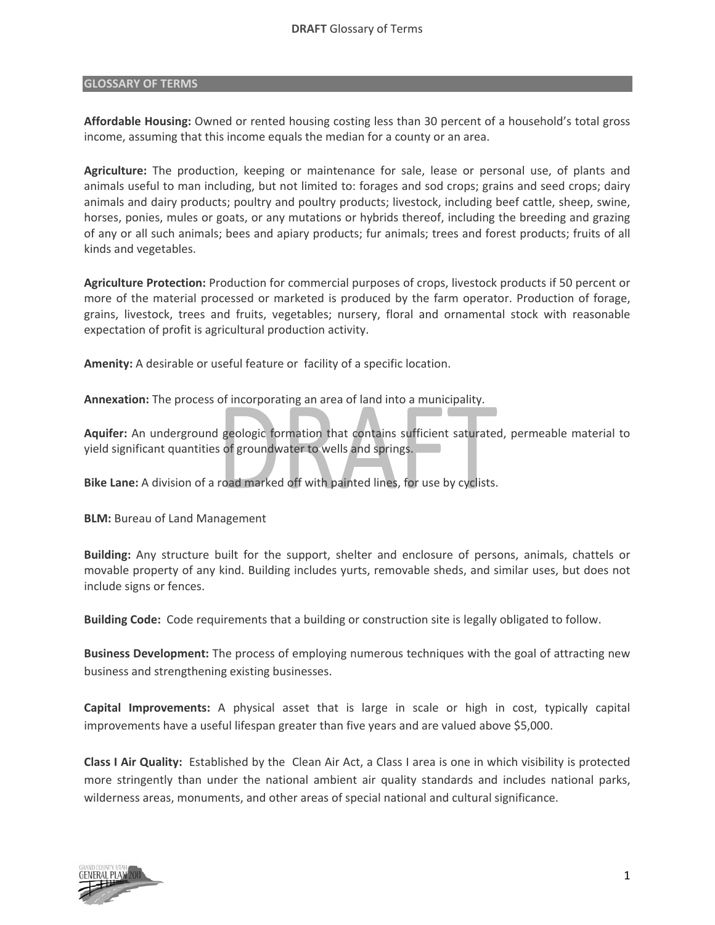## **GLOSSARY OF TERMS**

**Affordable Housing:** Owned or rented housing costing less than 30 percent of a household's total gross income, assuming that this income equals the median for a county or an area.

**Agriculture:** The production, keeping or maintenance for sale, lease or personal use, of plants and animals useful to man including, but not limited to: forages and sod crops; grains and seed crops; dairy animals and dairy products; poultry and poultry products; livestock, including beef cattle, sheep, swine, horses, ponies, mules or goats, or any mutations or hybrids thereof, including the breeding and grazing of any or all such animals; bees and apiary products; fur animals; trees and forest products; fruits of all kinds and vegetables.

**Agriculture Protection:** Production for commercial purposes of crops, livestock products if 50 percent or more of the material processed or marketed is produced by the farm operator. Production of forage, grains, livestock, trees and fruits, vegetables; nursery, floral and ornamental stock with reasonable expectation of profit is agricultural production activity.

**Amenity:** A desirable or useful feature or facility of a specific location.

**Annexation:** The process of incorporating an area of land into a municipality.

**Aquifer:** An underground geologic formation that contains sufficient saturated, permeable material to yield significant quantities of groundwater to wells and springs.

**Bike Lane:** A division of a road marked off with painted lines, for use by cyclists.

**BLM:** Bureau of Land Management

**Building:** Any structure built for the support, shelter and enclosure of persons, animals, chattels or movable property of any kind. Building includes yurts, removable sheds, and similar uses, but does not include signs or fences.

**Building Code:** Code requirements that a building or construction site is legally obligated to follow.

**Business Development:** The process of employing numerous techniques with the goal of attracting new business and strengthening existing businesses.

**Capital Improvements:** A physical asset that is large in scale or high in cost, typically capital improvements have a useful lifespan greater than five years and are valued above \$5,000.

**Class I Air Quality:** Established by the Clean Air Act, a Class I area is one in which visibility is protected more stringently than under the national ambient air quality standards and includes national parks, wilderness areas, monuments, and other areas of special national and cultural significance.

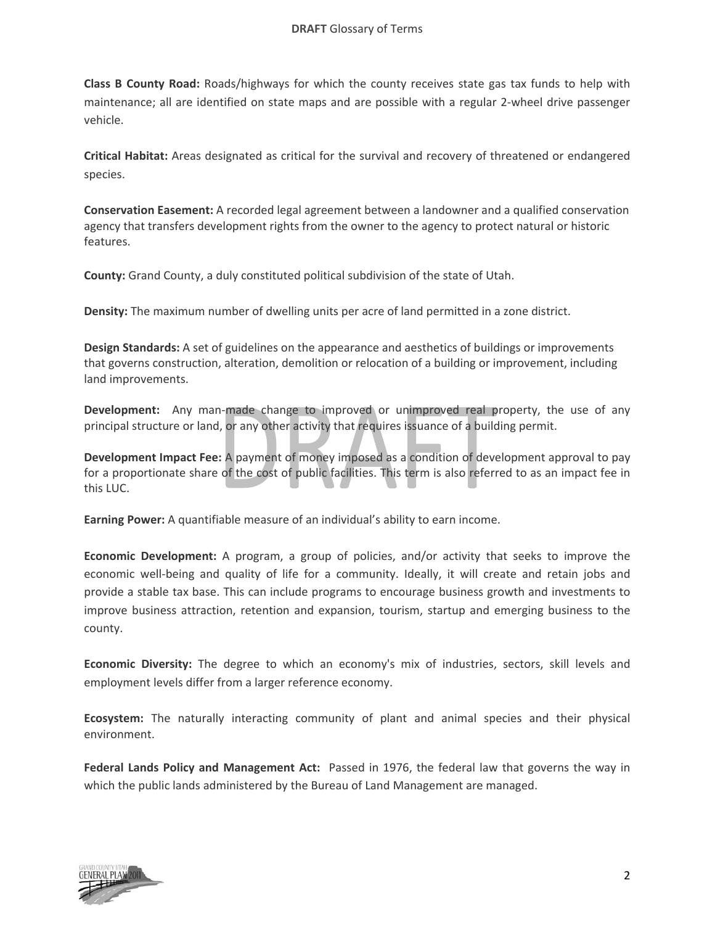**Class B County Road:** Roads/highways for which the county receives state gas tax funds to help with maintenance; all are identified on state maps and are possible with a regular 2‐wheel drive passenger vehicle.

**Critical Habitat:** Areas designated as critical for the survival and recovery of threatened or endangered species.

**Conservation Easement:** A recorded legal agreement between a landowner and a qualified conservation agency that transfers development rights from the owner to the agency to protect natural or historic features.

**County:** Grand County, a duly constituted political subdivision of the state of Utah.

**Density:** The maximum number of dwelling units per acre of land permitted in a zone district.

**Design Standards:** A set of guidelines on the appearance and aesthetics of buildings or improvements that governs construction, alteration, demolition or relocation of a building or improvement, including land improvements.

**Development:** Any man-made change to improved or unimproved real property, the use of any principal structure or land, or any other activity that requires issuance of a building permit.

**Development Impact Fee:** A payment of money imposed as a condition of development approval to pay for a proportionate share of the cost of public facilities. This term is also referred to as an impact fee in this LUC.

**Earning Power:** A quantifiable measure of an individual's ability to earn income.

**Economic Development:** A program, a group of policies, and/or activity that seeks to improve the economic well‐being and quality of life for a community. Ideally, it will create and retain jobs and provide a stable tax base. This can include programs to encourage business growth and investments to improve business attraction, retention and expansion, tourism, startup and emerging business to the county.

**Economic Diversity:** The degree to which an economy's mix of industries, sectors, skill levels and employment levels differ from a larger reference economy.

**Ecosystem:** The naturally interacting community of plant and animal species and their physical environment.

**Federal Lands Policy and Management Act:** Passed in 1976, the federal law that governs the way in which the public lands administered by the Bureau of Land Management are managed.

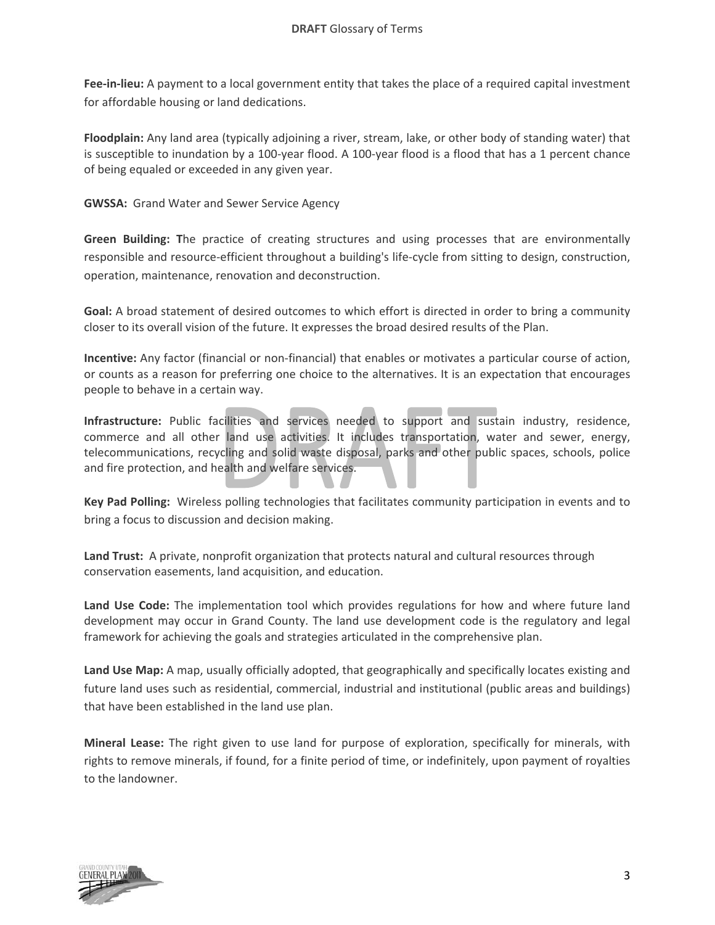**Fee‐in‐lieu:** A payment to a local government entity that takes the place of a required capital investment for affordable housing or land dedications.

**Floodplain:** Any land area (typically adjoining a river, stream, lake, or other body of standing water) that is susceptible to inundation by a 100-year flood. A 100-year flood is a flood that has a 1 percent chance of being equaled or exceeded in any given year.

**GWSSA:** Grand Water and Sewer Service Agency

**Green Building: T**he practice of creating structures and using processes that are environmentally responsible and resource‐efficient throughout a building's life‐cycle from sitting to design, construction, operation, maintenance, renovation and deconstruction.

**Goal:** A broad statement of desired outcomes to which effort is directed in order to bring a community closer to its overall vision of the future. It expresses the broad desired results of the Plan.

**Incentive:** Any factor (financial or non-financial) that enables or motivates a particular course of action, or counts as a reason for preferring one choice to the alternatives. It is an expectation that encourages people to behave in a certain way.

**Infrastructure:** Public facilities and services needed to support and sustain industry, residence, commerce and all other land use activities. It includes transportation, water and sewer, energy, telecommunications, recycling and solid waste disposal, parks and other public spaces, schools, police and fire protection, and health and welfare services.

**Key Pad Polling:** Wireless polling technologies that facilitates community participation in events and to bring a focus to discussion and decision making.

Land Trust: A private, nonprofit organization that protects natural and cultural resources through conservation easements, land acquisition, and education.

**Land Use Code:** The implementation tool which provides regulations for how and where future land development may occur in Grand County. The land use development code is the regulatory and legal framework for achieving the goals and strategies articulated in the comprehensive plan.

**Land Use Map:** A map, usually officially adopted, that geographically and specifically locates existing and future land uses such as residential, commercial, industrial and institutional (public areas and buildings) that have been established in the land use plan.

**Mineral Lease:** The right given to use land for purpose of exploration, specifically for minerals, with rights to remove minerals, if found, for a finite period of time, or indefinitely, upon payment of royalties to the landowner.

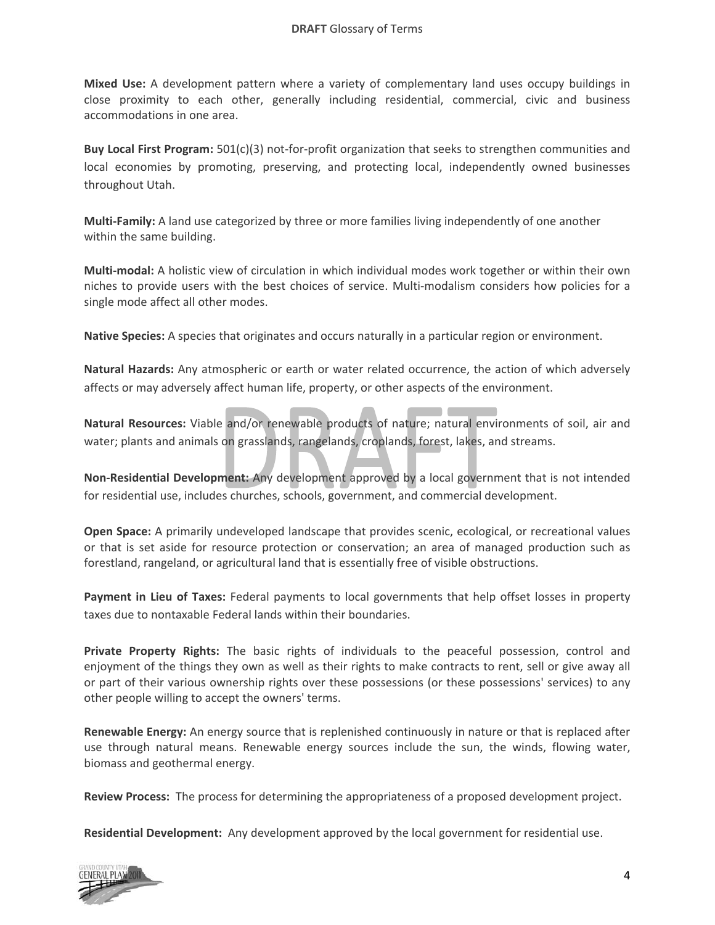**Mixed Use:** A development pattern where a variety of complementary land uses occupy buildings in close proximity to each other, generally including residential, commercial, civic and business accommodations in one area.

**Buy Local First Program:** 501(c)(3) not‐for‐profit organization that seeks to strengthen communities and local economies by promoting, preserving, and protecting local, independently owned businesses throughout Utah.

**Multi‐Family:** A land use categorized by three or more families living independently of one another within the same building.

**Multi‐modal:** A holistic view of circulation in which individual modes work together or within their own niches to provide users with the best choices of service. Multi‐modalism considers how policies for a single mode affect all other modes.

**Native Species:** A species that originates and occurs naturally in a particular region or environment.

**Natural Hazards:** Any atmospheric or earth or water related occurrence, the action of which adversely affects or may adversely affect human life, property, or other aspects of the environment.

**Natural Resources:** Viable and/or renewable products of nature; natural environments of soil, air and water; plants and animals on grasslands, rangelands, croplands, forest, lakes, and streams.

**Non‐Residential Development:** Any development approved by a local government that is not intended for residential use, includes churches, schools, government, and commercial development.

**Open Space:** A primarily undeveloped landscape that provides scenic, ecological, or recreational values or that is set aside for resource protection or conservation; an area of managed production such as forestland, rangeland, or agricultural land that is essentially free of visible obstructions.

**Payment in Lieu of Taxes:** Federal payments to local governments that help offset losses in property taxes due to nontaxable Federal lands within their boundaries.

**Private Property Rights:** The basic rights of individuals to the peaceful possession, control and enjoyment of the things they own as well as their rights to make contracts to rent, sell or give away all or part of their various ownership rights over these possessions (or these possessions' services) to any other people willing to accept the owners' terms.

**Renewable Energy:** An energy source that is replenished continuously in nature or that is replaced after use through natural means. Renewable energy sources include the sun, the winds, flowing water, biomass and geothermal energy.

**Review Process:** The process for determining the appropriateness of a proposed development project.

**Residential Development:** Any development approved by the local government for residential use.

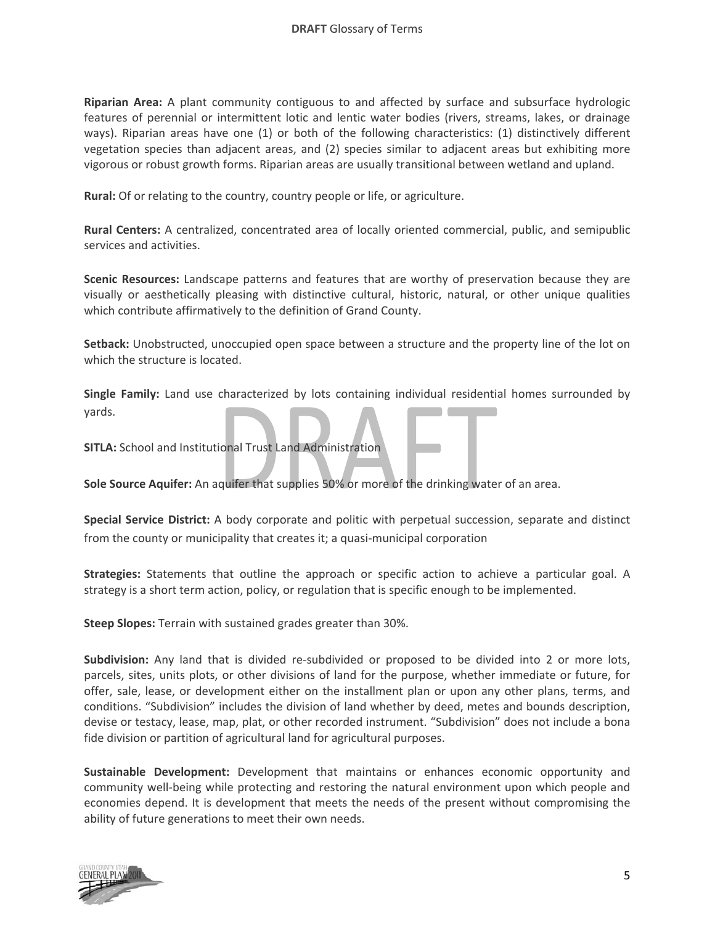**Riparian Area:** A plant community contiguous to and affected by surface and subsurface hydrologic features of perennial or intermittent lotic and lentic water bodies (rivers, streams, lakes, or drainage ways). Riparian areas have one (1) or both of the following characteristics: (1) distinctively different vegetation species than adjacent areas, and (2) species similar to adjacent areas but exhibiting more vigorous or robust growth forms. Riparian areas are usually transitional between wetland and upland.

**Rural:** Of or relating to the country, country people or life, or agriculture.

**Rural Centers:** A centralized, concentrated area of locally oriented commercial, public, and semipublic services and activities.

**Scenic Resources:** Landscape patterns and features that are worthy of preservation because they are visually or aesthetically pleasing with distinctive cultural, historic, natural, or other unique qualities which contribute affirmatively to the definition of Grand County.

**Setback:** Unobstructed, unoccupied open space between a structure and the property line of the lot on which the structure is located.

**Single Family:** Land use characterized by lots containing individual residential homes surrounded by yards.

**SITLA:** School and Institutional Trust Land Administration

**Sole Source Aquifer:** An aquifer that supplies 50% or more of the drinking water of an area.

**Special Service District:** A body corporate and politic with perpetual succession, separate and distinct from the county or municipality that creates it; a quasi-municipal corporation

**Strategies:** Statements that outline the approach or specific action to achieve a particular goal. A strategy is a short term action, policy, or regulation that is specific enough to be implemented.

**Steep Slopes:** Terrain with sustained grades greater than 30%.

**Subdivision:** Any land that is divided re-subdivided or proposed to be divided into 2 or more lots, parcels, sites, units plots, or other divisions of land for the purpose, whether immediate or future, for offer, sale, lease, or development either on the installment plan or upon any other plans, terms, and conditions. "Subdivision" includes the division of land whether by deed, metes and bounds description, devise or testacy, lease, map, plat, or other recorded instrument. "Subdivision" does not include a bona fide division or partition of agricultural land for agricultural purposes.

**Sustainable Development:** Development that maintains or enhances economic opportunity and community well-being while protecting and restoring the natural environment upon which people and economies depend. It is development that meets the needs of the present without compromising the ability of future generations to meet their own needs.

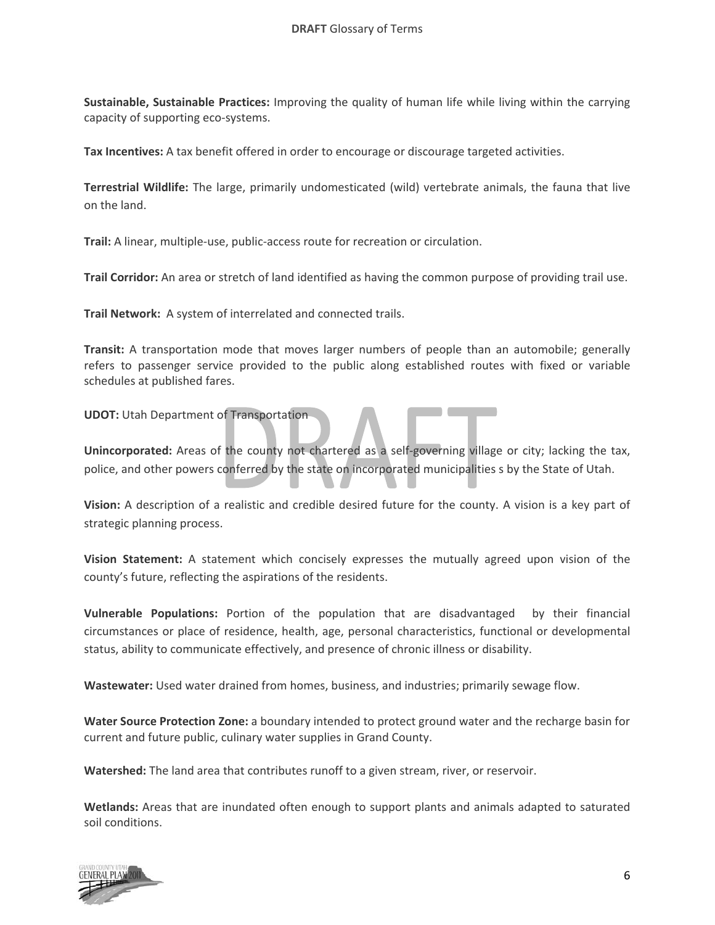**Sustainable, Sustainable Practices:** Improving the quality of human life while living within the carrying capacity of supporting eco‐systems.

**Tax Incentives:** A tax benefit offered in order to encourage or discourage targeted activities.

**Terrestrial Wildlife:** The large, primarily undomesticated (wild) vertebrate animals, the fauna that live on the land.

**Trail:** A linear, multiple‐use, public‐access route for recreation or circulation.

**Trail Corridor:** An area or stretch of land identified as having the common purpose of providing trail use.

**Trail Network:** A system of interrelated and connected trails.

**Transit:** A transportation mode that moves larger numbers of people than an automobile; generally refers to passenger service provided to the public along established routes with fixed or variable schedules at published fares.

**UDOT:** Utah Department of Transportation

Unincorporated: Areas of the county not chartered as a self-governing village or city; lacking the tax, police, and other powers conferred by the state on incorporated municipalities s by the State of Utah.

**Vision:** A description of a realistic and credible desired future for the county. A vision is a key part of strategic planning process.

**Vision Statement:** A statement which concisely expresses the mutually agreed upon vision of the county's future, reflecting the aspirations of the residents.

**Vulnerable Populations:** Portion of the population that are disadvantaged by their financial circumstances or place of residence, health, age, personal characteristics, functional or developmental status, ability to communicate effectively, and presence of chronic illness or disability.

**Wastewater:** Used water drained from homes, business, and industries; primarily sewage flow.

**Water Source Protection Zone:** a boundary intended to protect ground water and the recharge basin for current and future public, culinary water supplies in Grand County.

**Watershed:** The land area that contributes runoff to a given stream, river, or reservoir.

**Wetlands:** Areas that are inundated often enough to support plants and animals adapted to saturated soil conditions.